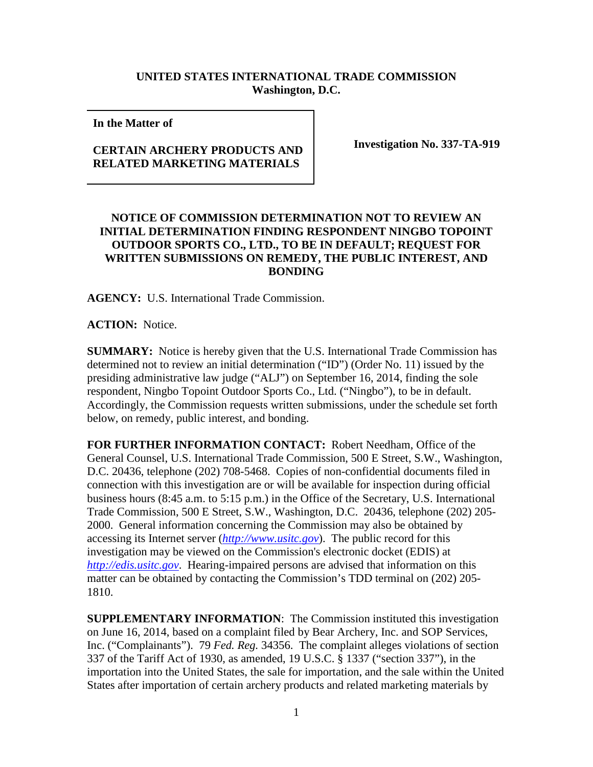## **UNITED STATES INTERNATIONAL TRADE COMMISSION Washington, D.C.**

**In the Matter of** 

## **CERTAIN ARCHERY PRODUCTS AND RELATED MARKETING MATERIALS**

**Investigation No. 337-TA-919**

## **NOTICE OF COMMISSION DETERMINATION NOT TO REVIEW AN INITIAL DETERMINATION FINDING RESPONDENT NINGBO TOPOINT OUTDOOR SPORTS CO., LTD., TO BE IN DEFAULT; REQUEST FOR WRITTEN SUBMISSIONS ON REMEDY, THE PUBLIC INTEREST, AND BONDING**

**AGENCY:** U.S. International Trade Commission.

**ACTION:** Notice.

**SUMMARY:** Notice is hereby given that the U.S. International Trade Commission has determined not to review an initial determination ("ID") (Order No. 11) issued by the presiding administrative law judge ("ALJ") on September 16, 2014, finding the sole respondent, Ningbo Topoint Outdoor Sports Co., Ltd. ("Ningbo"), to be in default. Accordingly, the Commission requests written submissions, under the schedule set forth below, on remedy, public interest, and bonding.

**FOR FURTHER INFORMATION CONTACT:** Robert Needham, Office of the General Counsel, U.S. International Trade Commission, 500 E Street, S.W., Washington, D.C. 20436, telephone (202) 708-5468. Copies of non-confidential documents filed in connection with this investigation are or will be available for inspection during official business hours (8:45 a.m. to 5:15 p.m.) in the Office of the Secretary, U.S. International Trade Commission, 500 E Street, S.W., Washington, D.C. 20436, telephone (202) 205- 2000. General information concerning the Commission may also be obtained by accessing its Internet server (*[http://www.usitc.gov](http://www.usitc.gov/)*). The public record for this investigation may be viewed on the Commission's electronic docket (EDIS) at *[http://edis.usitc.gov](http://edis.usitc.gov/)*. Hearing-impaired persons are advised that information on this matter can be obtained by contacting the Commission's TDD terminal on (202) 205- 1810.

**SUPPLEMENTARY INFORMATION**: The Commission instituted this investigation on June 16, 2014, based on a complaint filed by Bear Archery, Inc. and SOP Services, Inc. ("Complainants"). 79 *Fed. Reg.* 34356. The complaint alleges violations of section 337 of the Tariff Act of 1930, as amended, 19 U.S.C. § 1337 ("section 337"), in the importation into the United States, the sale for importation, and the sale within the United States after importation of certain archery products and related marketing materials by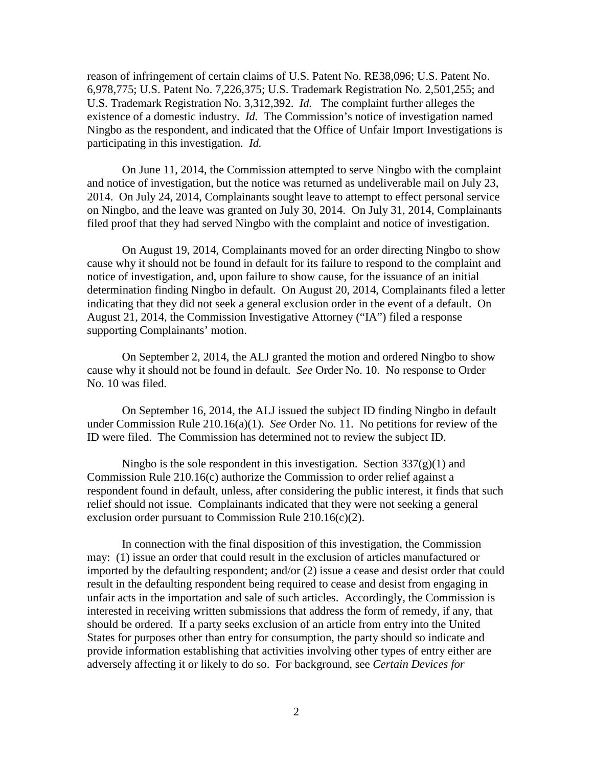reason of infringement of certain claims of U.S. Patent No. RE38,096; U.S. Patent No. 6,978,775; U.S. Patent No. 7,226,375; U.S. Trademark Registration No. 2,501,255; and U.S. Trademark Registration No. 3,312,392. *Id.* The complaint further alleges the existence of a domestic industry. *Id.* The Commission's notice of investigation named Ningbo as the respondent, and indicated that the Office of Unfair Import Investigations is participating in this investigation. *Id.*

On June 11, 2014, the Commission attempted to serve Ningbo with the complaint and notice of investigation, but the notice was returned as undeliverable mail on July 23, 2014. On July 24, 2014, Complainants sought leave to attempt to effect personal service on Ningbo, and the leave was granted on July 30, 2014. On July 31, 2014, Complainants filed proof that they had served Ningbo with the complaint and notice of investigation.

On August 19, 2014, Complainants moved for an order directing Ningbo to show cause why it should not be found in default for its failure to respond to the complaint and notice of investigation, and, upon failure to show cause, for the issuance of an initial determination finding Ningbo in default. On August 20, 2014, Complainants filed a letter indicating that they did not seek a general exclusion order in the event of a default. On August 21, 2014, the Commission Investigative Attorney ("IA") filed a response supporting Complainants' motion.

On September 2, 2014, the ALJ granted the motion and ordered Ningbo to show cause why it should not be found in default. *See* Order No. 10. No response to Order No. 10 was filed.

On September 16, 2014, the ALJ issued the subject ID finding Ningbo in default under Commission Rule 210.16(a)(1). *See* Order No. 11. No petitions for review of the ID were filed. The Commission has determined not to review the subject ID.

Ningbo is the sole respondent in this investigation. Section  $337(g)(1)$  and Commission Rule 210.16(c) authorize the Commission to order relief against a respondent found in default, unless, after considering the public interest, it finds that such relief should not issue. Complainants indicated that they were not seeking a general exclusion order pursuant to Commission Rule 210.16(c)(2).

In connection with the final disposition of this investigation, the Commission may: (1) issue an order that could result in the exclusion of articles manufactured or imported by the defaulting respondent; and/or (2) issue a cease and desist order that could result in the defaulting respondent being required to cease and desist from engaging in unfair acts in the importation and sale of such articles. Accordingly, the Commission is interested in receiving written submissions that address the form of remedy, if any, that should be ordered. If a party seeks exclusion of an article from entry into the United States for purposes other than entry for consumption, the party should so indicate and provide information establishing that activities involving other types of entry either are adversely affecting it or likely to do so. For background, see *Certain Devices for*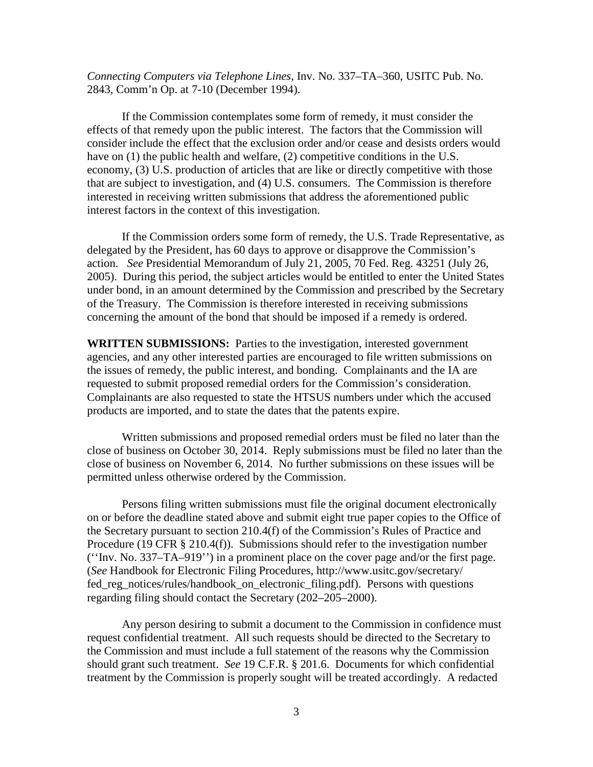*Connecting Computers via Telephone Lines*, Inv. No. 337–TA–360, USITC Pub. No. 2843, Comm'n Op. at 7-10 (December 1994).

If the Commission contemplates some form of remedy, it must consider the effects of that remedy upon the public interest. The factors that the Commission will consider include the effect that the exclusion order and/or cease and desists orders would have on (1) the public health and welfare, (2) competitive conditions in the U.S. economy, (3) U.S. production of articles that are like or directly competitive with those that are subject to investigation, and (4) U.S. consumers. The Commission is therefore interested in receiving written submissions that address the aforementioned public interest factors in the context of this investigation.

If the Commission orders some form of remedy, the U.S. Trade Representative, as delegated by the President, has 60 days to approve or disapprove the Commission's action. *See* Presidential Memorandum of July 21, 2005, 70 Fed. Reg. 43251 (July 26, 2005). During this period, the subject articles would be entitled to enter the United States under bond, in an amount determined by the Commission and prescribed by the Secretary of the Treasury. The Commission is therefore interested in receiving submissions concerning the amount of the bond that should be imposed if a remedy is ordered.

**WRITTEN SUBMISSIONS:** Parties to the investigation, interested government agencies, and any other interested parties are encouraged to file written submissions on the issues of remedy, the public interest, and bonding. Complainants and the IA are requested to submit proposed remedial orders for the Commission's consideration. Complainants are also requested to state the HTSUS numbers under which the accused products are imported, and to state the dates that the patents expire.

Written submissions and proposed remedial orders must be filed no later than the close of business on October 30, 2014. Reply submissions must be filed no later than the close of business on November 6, 2014. No further submissions on these issues will be permitted unless otherwise ordered by the Commission.

Persons filing written submissions must file the original document electronically on or before the deadline stated above and submit eight true paper copies to the Office of the Secretary pursuant to section 210.4(f) of the Commission's Rules of Practice and Procedure (19 CFR § 210.4(f)). Submissions should refer to the investigation number (''Inv. No. 337–TA–919'') in a prominent place on the cover page and/or the first page. (*See* Handbook for Electronic Filing Procedures, http://www.usitc.gov/secretary/ fed\_reg\_notices/rules/handbook\_on\_electronic\_filing.pdf). Persons with questions regarding filing should contact the Secretary (202–205–2000).

Any person desiring to submit a document to the Commission in confidence must request confidential treatment. All such requests should be directed to the Secretary to the Commission and must include a full statement of the reasons why the Commission should grant such treatment. *See* 19 C.F.R. § 201.6. Documents for which confidential treatment by the Commission is properly sought will be treated accordingly. A redacted